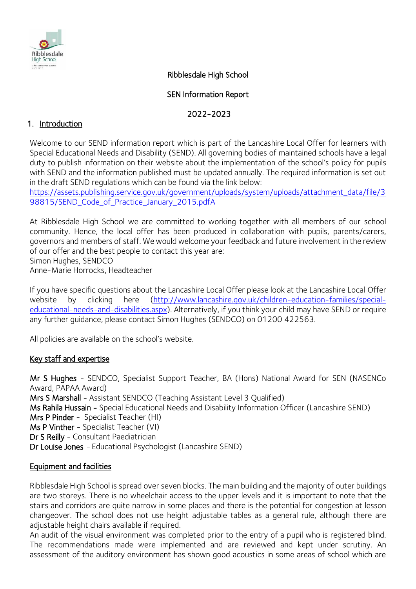

## Ribblesdale High School

#### SEN Information Report

## 2022-2023

## 1. Introduction

Welcome to our SEND information report which is part of the Lancashire Local Offer for learners with Special Educational Needs and Disability (SEND). All governing bodies of maintained schools have a legal duty to publish information on their website about the implementation of the school's policy for pupils with SEND and the information published must be updated annually. The required information is set out in the draft SEND regulations which can be found via the link below:

[https://assets.publishing.service.gov.uk/government/uploads/system/uploads/attachment\\_data/file/3](https://assets.publishing.service.gov.uk/government/uploads/system/uploads/attachment_data/file/398815/SEND_Code_of_Practice_January_2015.pdf) [98815/SEND\\_Code\\_of\\_Practice\\_January\\_2015.pdfA](https://assets.publishing.service.gov.uk/government/uploads/system/uploads/attachment_data/file/398815/SEND_Code_of_Practice_January_2015.pdf)

At Ribblesdale High School we are committed to working together with all members of our school community. Hence, the local offer has been produced in collaboration with pupils, parents/carers, governors and members of staff. We would welcome your feedback and future involvement in the review of our offer and the best people to contact this year are: Simon Hughes, SENDCO

Anne-Marie Horrocks, Headteacher

If you have specific questions about the Lancashire Local Offer please look at the Lancashire Local Offer website by clicking here [\(http://www.lancashire.gov.uk/children-education-families/special](http://www.lancashire.gov.uk/children-education-families/special-educational-needs-and-disabilities.aspx)[educational-needs-and-disabilities.aspx\)](http://www.lancashire.gov.uk/children-education-families/special-educational-needs-and-disabilities.aspx). Alternatively, if you think your child may have SEND or require any further guidance, please contact Simon Hughes (SENDCO) on 01200 422563.

All policies are available on the school's website.

#### Key staff and expertise

Mr S Hughes - SENDCO, Specialist Support Teacher, BA (Hons) National Award for SEN (NASENCo Award, PAPAA Award) Mrs S Marshall - Assistant SENDCO (Teaching Assistant Level 3 Qualified) Ms Rahila Hussain - Special Educational Needs and Disability Information Officer (Lancashire SEND) Mrs P Pinder - Specialist Teacher (HI) Ms P Vinther - Specialist Teacher (VI) Dr S Reilly - Consultant Paediatrician Dr Louise Jones - Educational Psychologist (Lancashire SEND)

#### Equipment and facilities

Ribblesdale High School is spread over seven blocks. The main building and the majority of outer buildings are two storeys. There is no wheelchair access to the upper levels and it is important to note that the stairs and corridors are quite narrow in some places and there is the potential for congestion at lesson changeover. The school does not use height adjustable tables as a general rule, although there are adjustable height chairs available if required.

An audit of the visual environment was completed prior to the entry of a pupil who is registered blind. The recommendations made were implemented and are reviewed and kept under scrutiny. An assessment of the auditory environment has shown good acoustics in some areas of school which are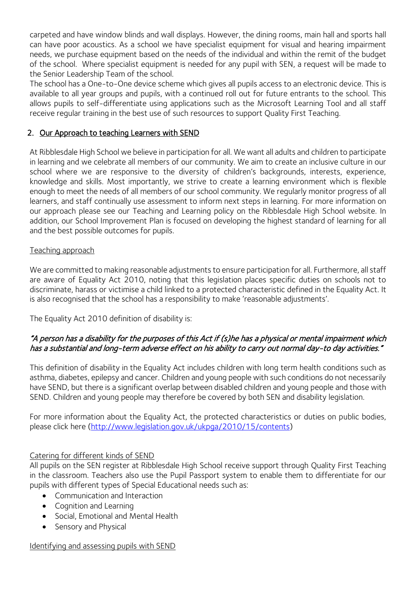carpeted and have window blinds and wall displays. However, the dining rooms, main hall and sports hall can have poor acoustics. As a school we have specialist equipment for visual and hearing impairment needs, we purchase equipment based on the needs of the individual and within the remit of the budget of the school. Where specialist equipment is needed for any pupil with SEN, a request will be made to the Senior Leadership Team of the school.

The school has a One-to-One device scheme which gives all pupils access to an electronic device. This is available to all year groups and pupils, with a continued roll out for future entrants to the school. This allows pupils to self-differentiate using applications such as the Microsoft Learning Tool and all staff receive regular training in the best use of such resources to support Quality First Teaching.

## 2. Our Approach to teaching Learners with SEND

At Ribblesdale High School we believe in participation for all. We want all adults and children to participate in learning and we celebrate all members of our community. We aim to create an inclusive culture in our school where we are responsive to the diversity of children's backgrounds, interests, experience, knowledge and skills. Most importantly, we strive to create a learning environment which is flexible enough to meet the needs of all members of our school community. We regularly monitor progress of all learners, and staff continually use assessment to inform next steps in learning. For more information on our approach please see our Teaching and Learning policy on the Ribblesdale High School website. In addition, our School Improvement Plan is focused on developing the highest standard of learning for all and the best possible outcomes for pupils.

#### Teaching approach

We are committed to making reasonable adjustments to ensure participation for all. Furthermore, all staff are aware of Equality Act 2010, noting that this legislation places specific duties on schools not to discriminate, harass or victimise a child linked to a protected characteristic defined in the Equality Act. It is also recognised that the school has a responsibility to make 'reasonable adjustments'.

The Equality Act 2010 definition of disability is:

## "A person has a disability for the purposes of this Act if (s)he has a physical or mental impairment which has a substantial and long-term adverse effect on his ability to carry out normal day-to day activities."

This definition of disability in the Equality Act includes children with long term health conditions such as asthma, diabetes, epilepsy and cancer. Children and young people with such conditions do not necessarily have SEND, but there is a significant overlap between disabled children and young people and those with SEND. Children and young people may therefore be covered by both SEN and disability legislation.

For more information about the Equality Act, the protected characteristics or duties on public bodies, please click here [\(http://www.legislation.gov.uk/ukpga/2010/15/contents\)](http://www.legislation.gov.uk/ukpga/2010/15/contents)

#### Catering for different kinds of SEND

All pupils on the SEN register at Ribblesdale High School receive support through Quality First Teaching in the classroom. Teachers also use the Pupil Passport system to enable them to differentiate for our pupils with different types of Special Educational needs such as:

- Communication and Interaction
- Cognition and Learning
- Social, Emotional and Mental Health
- Sensory and Physical

#### Identifying and assessing pupils with SEND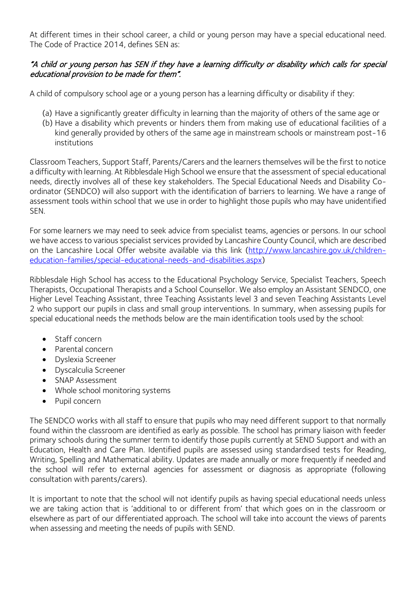At different times in their school career, a child or young person may have a special educational need. The Code of Practice 2014, defines SEN as:

## "A child or young person has SEN if they have a learning difficulty or disability which calls for special educational provision to be made for them".

A child of compulsory school age or a young person has a learning difficulty or disability if they:

- (a) Have a significantly greater difficulty in learning than the majority of others of the same age or
- (b) Have a disability which prevents or hinders them from making use of educational facilities of a kind generally provided by others of the same age in mainstream schools or mainstream post-16 institutions

Classroom Teachers, Support Staff, Parents/Carers and the learners themselves will be the first to notice a difficulty with learning. At Ribblesdale High School we ensure that the assessment of special educational needs, directly involves all of these key stakeholders. The Special Educational Needs and Disability Coordinator (SENDCO) will also support with the identification of barriers to learning. We have a range of assessment tools within school that we use in order to highlight those pupils who may have unidentified SEN.

For some learners we may need to seek advice from specialist teams, agencies or persons. In our school we have access to various specialist services provided by Lancashire County Council, which are described on the Lancashire Local Offer website available via this link [\(http://www.lancashire.gov.uk/children](http://www.lancashire.gov.uk/children-education-families/special-educational-needs-and-disabilities.aspx)[education-families/special-educational-needs-and-disabilities.aspx\)](http://www.lancashire.gov.uk/children-education-families/special-educational-needs-and-disabilities.aspx)

Ribblesdale High School has access to the Educational Psychology Service, Specialist Teachers, Speech Therapists, Occupational Therapists and a School Counsellor. We also employ an Assistant SENDCO, one Higher Level Teaching Assistant, three Teaching Assistants level 3 and seven Teaching Assistants Level 2 who support our pupils in class and small group interventions. In summary, when assessing pupils for special educational needs the methods below are the main identification tools used by the school:

- Staff concern
- Parental concern
- Dyslexia Screener
- Dyscalculia Screener
- SNAP Assessment
- Whole school monitoring systems
- Pupil concern

The SENDCO works with all staff to ensure that pupils who may need different support to that normally found within the classroom are identified as early as possible. The school has primary liaison with feeder primary schools during the summer term to identify those pupils currently at SEND Support and with an Education, Health and Care Plan. Identified pupils are assessed using standardised tests for Reading, Writing, Spelling and Mathematical ability. Updates are made annually or more frequently if needed and the school will refer to external agencies for assessment or diagnosis as appropriate (following consultation with parents/carers).

It is important to note that the school will not identify pupils as having special educational needs unless we are taking action that is 'additional to or different from' that which goes on in the classroom or elsewhere as part of our differentiated approach. The school will take into account the views of parents when assessing and meeting the needs of pupils with SEND.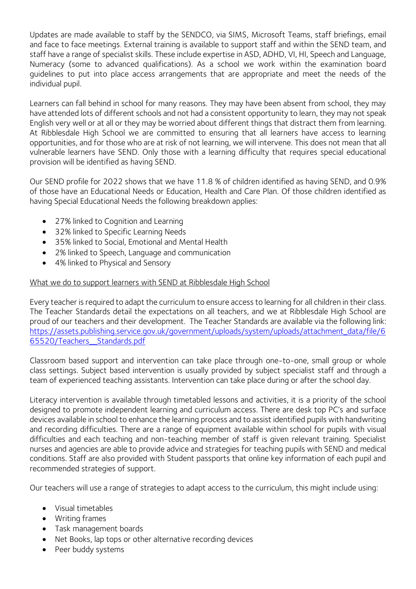Updates are made available to staff by the SENDCO, via SIMS, Microsoft Teams, staff briefings, email and face to face meetings. External training is available to support staff and within the SEND team, and staff have a range of specialist skills. These include expertise in ASD, ADHD, VI, HI, Speech and Language, Numeracy (some to advanced qualifications). As a school we work within the examination board guidelines to put into place access arrangements that are appropriate and meet the needs of the individual pupil.

Learners can fall behind in school for many reasons. They may have been absent from school, they may have attended lots of different schools and not had a consistent opportunity to learn, they may not speak English very well or at all or they may be worried about different things that distract them from learning. At Ribblesdale High School we are committed to ensuring that all learners have access to learning opportunities, and for those who are at risk of not learning, we will intervene. This does not mean that all vulnerable learners have SEND. Only those with a learning difficulty that requires special educational provision will be identified as having SEND.

Our SEND profile for 2022 shows that we have 11.8 % of children identified as having SEND, and 0.9% of those have an Educational Needs or Education, Health and Care Plan. Of those children identified as having Special Educational Needs the following breakdown applies:

- 27% linked to Cognition and Learning
- 32% linked to Specific Learning Needs
- 35% linked to Social, Emotional and Mental Health
- 2% linked to Speech, Language and communication
- 4% linked to Physical and Sensory

#### What we do to support learners with SEND at Ribblesdale High School

Every teacher is required to adapt the curriculum to ensure access to learning for all children in their class. The Teacher Standards detail the expectations on all teachers, and we at Ribblesdale High School are proud of our teachers and their development. The Teacher Standards are available via the following link: [https://assets.publishing.service.gov.uk/government/uploads/system/uploads/attachment\\_data/file/6](https://assets.publishing.service.gov.uk/government/uploads/system/uploads/attachment_data/file/665520/Teachers__Standards.pdf) [65520/Teachers\\_\\_Standards.pdf](https://assets.publishing.service.gov.uk/government/uploads/system/uploads/attachment_data/file/665520/Teachers__Standards.pdf)

Classroom based support and intervention can take place through one-to-one, small group or whole class settings. Subject based intervention is usually provided by subject specialist staff and through a team of experienced teaching assistants. Intervention can take place during or after the school day.

Literacy intervention is available through timetabled lessons and activities, it is a priority of the school designed to promote independent learning and curriculum access. There are desk top PC's and surface devices available in school to enhance the learning process and to assist identified pupils with handwriting and recording difficulties. There are a range of equipment available within school for pupils with visual difficulties and each teaching and non-teaching member of staff is given relevant training. Specialist nurses and agencies are able to provide advice and strategies for teaching pupils with SEND and medical conditions. Staff are also provided with Student passports that online key information of each pupil and recommended strategies of support.

Our teachers will use a range of strategies to adapt access to the curriculum, this might include using:

- Visual timetables
- Writing frames
- Task management boards
- Net Books, lap tops or other alternative recording devices
- Peer buddy systems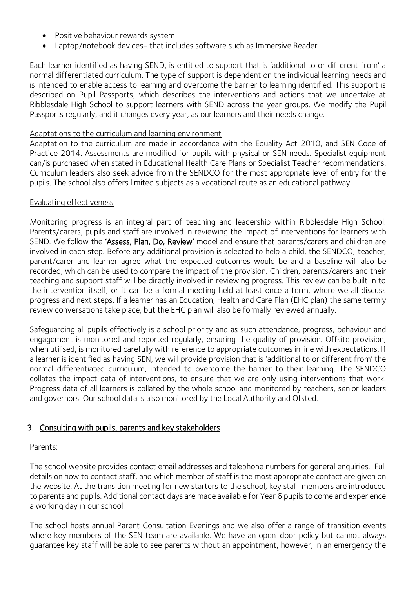- Positive behaviour rewards system
- Laptop/notebook devices- that includes software such as Immersive Reader

Each learner identified as having SEND, is entitled to support that is 'additional to or different from' a normal differentiated curriculum. The type of support is dependent on the individual learning needs and is intended to enable access to learning and overcome the barrier to learning identified. This support is described on Pupil Passports, which describes the interventions and actions that we undertake at Ribblesdale High School to support learners with SEND across the year groups. We modify the Pupil Passports regularly, and it changes every year, as our learners and their needs change.

#### Adaptations to the curriculum and learning environment

Adaptation to the curriculum are made in accordance with the Equality Act 2010, and SEN Code of Practice 2014. Assessments are modified for pupils with physical or SEN needs. Specialist equipment can/is purchased when stated in Educational Health Care Plans or Specialist Teacher recommendations. Curriculum leaders also seek advice from the SENDCO for the most appropriate level of entry for the pupils. The school also offers limited subjects as a vocational route as an educational pathway.

#### Evaluating effectiveness

Monitoring progress is an integral part of teaching and leadership within Ribblesdale High School. Parents/carers, pupils and staff are involved in reviewing the impact of interventions for learners with SEND. We follow the 'Assess, Plan, Do, Review' model and ensure that parents/carers and children are involved in each step. Before any additional provision is selected to help a child, the SENDCO, teacher, parent/carer and learner agree what the expected outcomes would be and a baseline will also be recorded, which can be used to compare the impact of the provision. Children, parents/carers and their teaching and support staff will be directly involved in reviewing progress. This review can be built in to the intervention itself, or it can be a formal meeting held at least once a term, where we all discuss progress and next steps. If a learner has an Education, Health and Care Plan (EHC plan) the same termly review conversations take place, but the EHC plan will also be formally reviewed annually.

Safeguarding all pupils effectively is a school priority and as such attendance, progress, behaviour and engagement is monitored and reported regularly, ensuring the quality of provision. Offsite provision, when utilised, is monitored carefully with reference to appropriate outcomes in line with expectations. If a learner is identified as having SEN, we will provide provision that is 'additional to or different from' the normal differentiated curriculum, intended to overcome the barrier to their learning. The SENDCO collates the impact data of interventions, to ensure that we are only using interventions that work. Progress data of all learners is collated by the whole school and monitored by teachers, senior leaders and governors. Our school data is also monitored by the Local Authority and Ofsted.

#### 3. Consulting with pupils, parents and key stakeholders

#### Parents:

The school website provides contact email addresses and telephone numbers for general enquiries. Full details on how to contact staff, and which member of staff is the most appropriate contact are given on the website. At the transition meeting for new starters to the school, key staff members are introduced to parents and pupils. Additional contact days are made available for Year 6 pupils to come and experience a working day in our school.

The school hosts annual Parent Consultation Evenings and we also offer a range of transition events where key members of the SEN team are available. We have an open-door policy but cannot always guarantee key staff will be able to see parents without an appointment, however, in an emergency the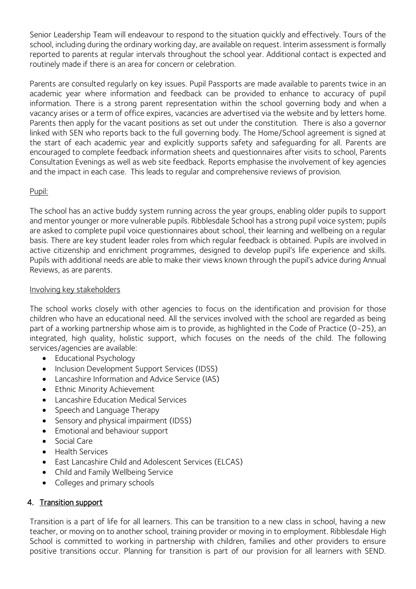Senior Leadership Team will endeavour to respond to the situation quickly and effectively. Tours of the school, including during the ordinary working day, are available on request. Interim assessment is formally reported to parents at regular intervals throughout the school year. Additional contact is expected and routinely made if there is an area for concern or celebration.

Parents are consulted regularly on key issues. Pupil Passports are made available to parents twice in an academic year where information and feedback can be provided to enhance to accuracy of pupil information. There is a strong parent representation within the school governing body and when a vacancy arises or a term of office expires, vacancies are advertised via the website and by letters home. Parents then apply for the vacant positions as set out under the constitution. There is also a governor linked with SEN who reports back to the full governing body. The Home/School agreement is signed at the start of each academic year and explicitly supports safety and safeguarding for all. Parents are encouraged to complete feedback information sheets and questionnaires after visits to school, Parents Consultation Evenings as well as web site feedback. Reports emphasise the involvement of key agencies and the impact in each case. This leads to regular and comprehensive reviews of provision.

#### Pupil:

The school has an active buddy system running across the year groups, enabling older pupils to support and mentor younger or more vulnerable pupils. Ribblesdale School has a strong pupil voice system; pupils are asked to complete pupil voice questionnaires about school, their learning and wellbeing on a regular basis. There are key student leader roles from which regular feedback is obtained. Pupils are involved in active citizenship and enrichment programmes, designed to develop pupil's life experience and skills. Pupils with additional needs are able to make their views known through the pupil's advice during Annual Reviews, as are parents.

#### Involving key stakeholders

The school works closely with other agencies to focus on the identification and provision for those children who have an educational need. All the services involved with the school are regarded as being part of a working partnership whose aim is to provide, as highlighted in the Code of Practice (0-25), an integrated, high quality, holistic support, which focuses on the needs of the child. The following services/agencies are available:

- Educational Psychology
- Inclusion Development Support Services (IDSS)
- Lancashire Information and Advice Service (IAS)
- Ethnic Minority Achievement
- Lancashire Education Medical Services
- Speech and Language Therapy
- Sensory and physical impairment (IDSS)
- Emotional and behaviour support
- Social Care
- Health Services
- East Lancashire Child and Adolescent Services (ELCAS)
- Child and Family Wellbeing Service
- Colleges and primary schools

# 4. Transition support

Transition is a part of life for all learners. This can be transition to a new class in school, having a new teacher, or moving on to another school, training provider or moving in to employment. Ribblesdale High School is committed to working in partnership with children, families and other providers to ensure positive transitions occur. Planning for transition is part of our provision for all learners with SEND.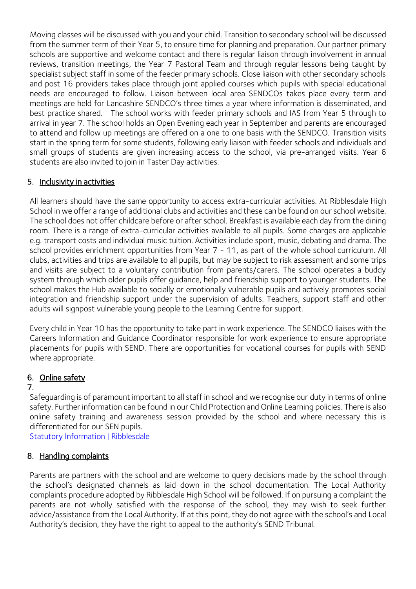Moving classes will be discussed with you and your child. Transition to secondary school will be discussed from the summer term of their Year 5, to ensure time for planning and preparation. Our partner primary schools are supportive and welcome contact and there is regular liaison through involvement in annual reviews, transition meetings, the Year 7 Pastoral Team and through regular lessons being taught by specialist subject staff in some of the feeder primary schools. Close liaison with other secondary schools and post 16 providers takes place through joint applied courses which pupils with special educational needs are encouraged to follow. Liaison between local area SENDCOs takes place every term and meetings are held for Lancashire SENDCO's three times a year where information is disseminated, and best practice shared. The school works with feeder primary schools and IAS from Year 5 through to arrival in year 7. The school holds an Open Evening each year in September and parents are encouraged to attend and follow up meetings are offered on a one to one basis with the SENDCO. Transition visits start in the spring term for some students, following early liaison with feeder schools and individuals and small groups of students are given increasing access to the school, via pre-arranged visits. Year 6 students are also invited to join in Taster Day activities.

# 5. Inclusivity in activities

All learners should have the same opportunity to access extra-curricular activities. At Ribblesdale High School in we offer a range of additional clubs and activities and these can be found on our school website. The school does not offer childcare before or after school. Breakfast is available each day from the dining room. There is a range of extra-curricular activities available to all pupils. Some charges are applicable e.g. transport costs and individual music tuition. Activities include sport, music, debating and drama. The school provides enrichment opportunities from Year 7 - 11, as part of the whole school curriculum. All clubs, activities and trips are available to all pupils, but may be subject to risk assessment and some trips and visits are subject to a voluntary contribution from parents/carers. The school operates a buddy system through which older pupils offer guidance, help and friendship support to younger students. The school makes the Hub available to socially or emotionally vulnerable pupils and actively promotes social integration and friendship support under the supervision of adults. Teachers, support staff and other adults will signpost vulnerable young people to the Learning Centre for support.

Every child in Year 10 has the opportunity to take part in work experience. The SENDCO liaises with the Careers Information and Guidance Coordinator responsible for work experience to ensure appropriate placements for pupils with SEND. There are opportunities for vocational courses for pupils with SEND where appropriate.

# 6. Online safety

# 7.

Safeguarding is of paramount important to all staff in school and we recognise our duty in terms of online safety. Further information can be found in our Child Protection and Online Learning policies. There is also online safety training and awareness session provided by the school and where necessary this is differentiated for our SEN pupils.

[Statutory Information | Ribblesdale](https://ribblesdale.org/statutory-information/)

# 8. Handling complaints

Parents are partners with the school and are welcome to query decisions made by the school through the school's designated channels as laid down in the school documentation. The Local Authority complaints procedure adopted by Ribblesdale High School will be followed. If on pursuing a complaint the parents are not wholly satisfied with the response of the school, they may wish to seek further advice/assistance from the Local Authority. If at this point, they do not agree with the school's and Local Authority's decision, they have the right to appeal to the authority's SEND Tribunal.